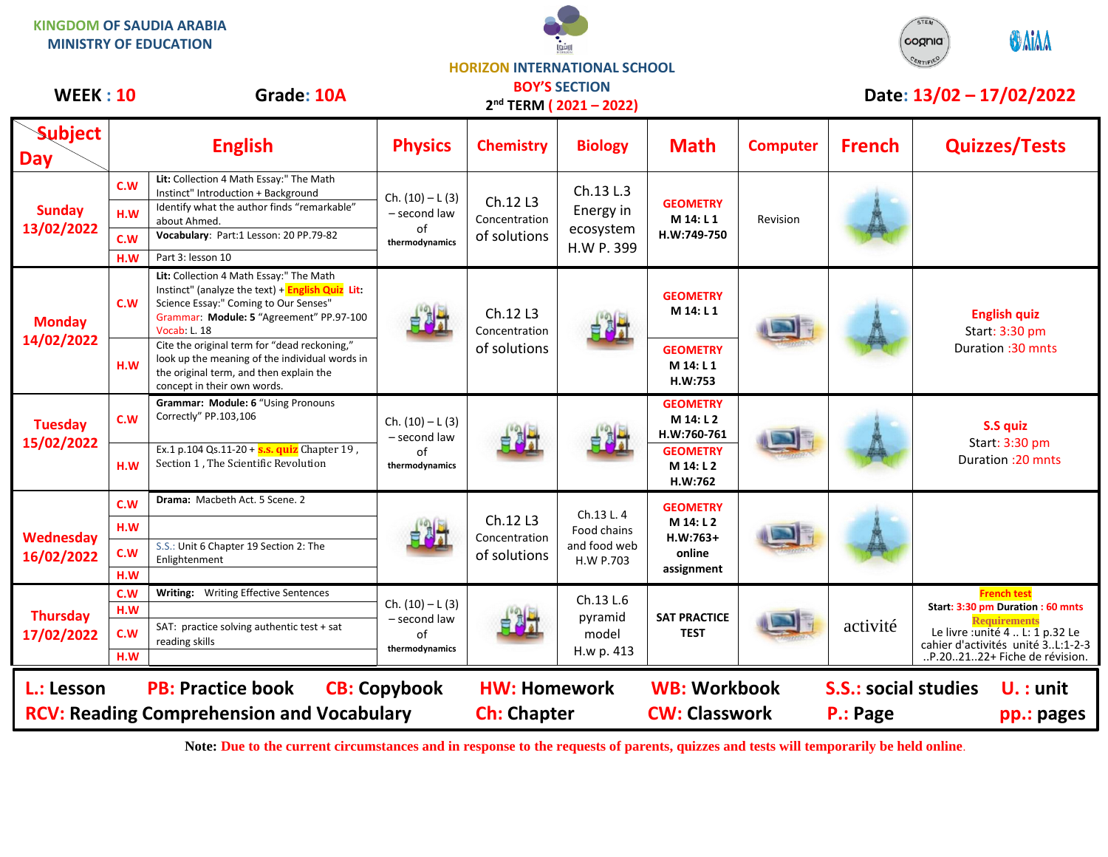



## **HORIZON INTERNATIONAL SCHOOL BOY'S SECTION**

| <b>WEEK: 10</b>               |                          | Grade: 10A                                                                                                                                                                                                   |                                                           |                                           | <b>BUY'S SECTION</b><br>2 <sup>nd</sup> TERM (2021-2022) |                                                 |                 |                                         | Date: 13/02 - 17/02/2022                                                                              |
|-------------------------------|--------------------------|--------------------------------------------------------------------------------------------------------------------------------------------------------------------------------------------------------------|-----------------------------------------------------------|-------------------------------------------|----------------------------------------------------------|-------------------------------------------------|-----------------|-----------------------------------------|-------------------------------------------------------------------------------------------------------|
| <b>Subject</b><br><b>Day</b>  |                          | <b>English</b>                                                                                                                                                                                               | <b>Physics</b>                                            | <b>Chemistry</b>                          | <b>Biology</b>                                           | <b>Math</b>                                     | <b>Computer</b> | <b>French</b>                           | <b>Quizzes/Tests</b>                                                                                  |
| <b>Sunday</b><br>13/02/2022   | C.W<br>H.W<br>C.W<br>H.W | Lit: Collection 4 Math Essay:" The Math<br>Instinct" Introduction + Background<br>Identify what the author finds "remarkable"<br>about Ahmed.<br>Vocabulary: Part:1 Lesson: 20 PP.79-82<br>Part 3: lesson 10 | Ch. $(10) - L(3)$<br>- second law<br>of<br>thermodynamics | Ch.12 L3<br>Concentration<br>of solutions | Ch.13 L.3<br>Energy in<br>ecosystem<br>H.W P. 399        | <b>GEOMETRY</b><br>M 14: L 1<br>H.W:749-750     | Revision        |                                         |                                                                                                       |
| <b>Monday</b><br>14/02/2022   | C.W                      | Lit: Collection 4 Math Essay:" The Math<br>Instinct" (analyze the text) + English Quiz Lit:<br>Science Essay:" Coming to Our Senses"<br>Grammar: Module: 5 "Agreement" PP.97-100<br><b>Vocab: L. 18</b>      |                                                           | Ch.12 L3<br>Concentration<br>of solutions | 自制社                                                      | <b>GEOMETRY</b><br>M 14: L 1                    |                 |                                         | <b>English quiz</b><br>Start: 3:30 pm<br>Duration : 30 mnts                                           |
|                               | H.W                      | Cite the original term for "dead reckoning,"<br>look up the meaning of the individual words in<br>the original term, and then explain the<br>concept in their own words.                                     |                                                           |                                           |                                                          | <b>GEOMETRY</b><br>M 14: L 1<br>H.W:753         |                 |                                         |                                                                                                       |
| <b>Tuesday</b><br>15/02/2022  | C.W                      | Grammar: Module: 6 "Using Pronouns<br>Correctly" PP.103,106                                                                                                                                                  | Ch. $(10) - L(3)$<br>- second law<br>of<br>thermodynamics | 自例式                                       | 自例式                                                      | <b>GEOMETRY</b><br>M 14: L 2<br>H.W:760-761     |                 |                                         | S.S quiz<br>Start: 3:30 pm<br>Duration: 20 mnts                                                       |
|                               | H.W                      | Ex.1 p.104 Qs.11-20 + $s.s.$ quiz Chapter 19,<br>Section 1, The Scientific Revolution                                                                                                                        |                                                           |                                           |                                                          | <b>GEOMETRY</b><br>M 14: L 2<br>H.W:762         |                 |                                         |                                                                                                       |
|                               | C.W                      | Drama: Macbeth Act. 5 Scene. 2                                                                                                                                                                               |                                                           |                                           | Ch.13 L. 4                                               | <b>GEOMETRY</b>                                 |                 |                                         |                                                                                                       |
| Wednesday<br>16/02/2022       | H.W                      |                                                                                                                                                                                                              |                                                           | Ch.12 L3<br>Concentration<br>of solutions | Food chains<br>and food web<br>H.W P.703                 | M 14: L 2<br>$H.W:763+$<br>online<br>assignment |                 |                                         |                                                                                                       |
|                               | C.W<br>H.W               | S.S.: Unit 6 Chapter 19 Section 2: The<br>Enlightenment                                                                                                                                                      |                                                           |                                           |                                                          |                                                 |                 |                                         |                                                                                                       |
|                               | C.W                      | Writing: Writing Effective Sentences                                                                                                                                                                         |                                                           |                                           | Ch.13 L.6<br>pyramid<br>model<br>H.w p. 413              | <b>SAT PRACTICE</b><br><b>TEST</b>              |                 | activité                                | <b>French test</b>                                                                                    |
| <b>Thursday</b><br>17/02/2022 | H.W                      |                                                                                                                                                                                                              | Ch. $(10) - L(3)$<br>- second law                         |                                           |                                                          |                                                 |                 |                                         | Start: 3:30 pm Duration : 60 mnts<br><b>Requirements</b>                                              |
|                               | C.W<br>H.W               | SAT: practice solving authentic test + sat<br>reading skills                                                                                                                                                 | of<br>thermodynamics                                      |                                           |                                                          |                                                 |                 |                                         | Le livre : unité 4  L: 1 p.32 Le<br>cahier d'activités unité 3L:1-2-3<br>P.202122+ Fiche de révision. |
| L.: Lesson                    |                          | <b>PB: Practice book</b><br><b>RCV: Reading Comprehension and Vocabulary</b>                                                                                                                                 | <b>CB: Copybook</b>                                       | <b>HW: Homework</b><br><b>Ch: Chapter</b> |                                                          | <b>WB: Workbook</b><br><b>CW: Classwork</b>     |                 | <b>S.S.: social studies</b><br>P.: Page | $U.$ : unit<br>pp.: pages                                                                             |

**Note: Due to the current circumstances and in response to the requests of parents, quizzes and tests will temporarily be held online.**